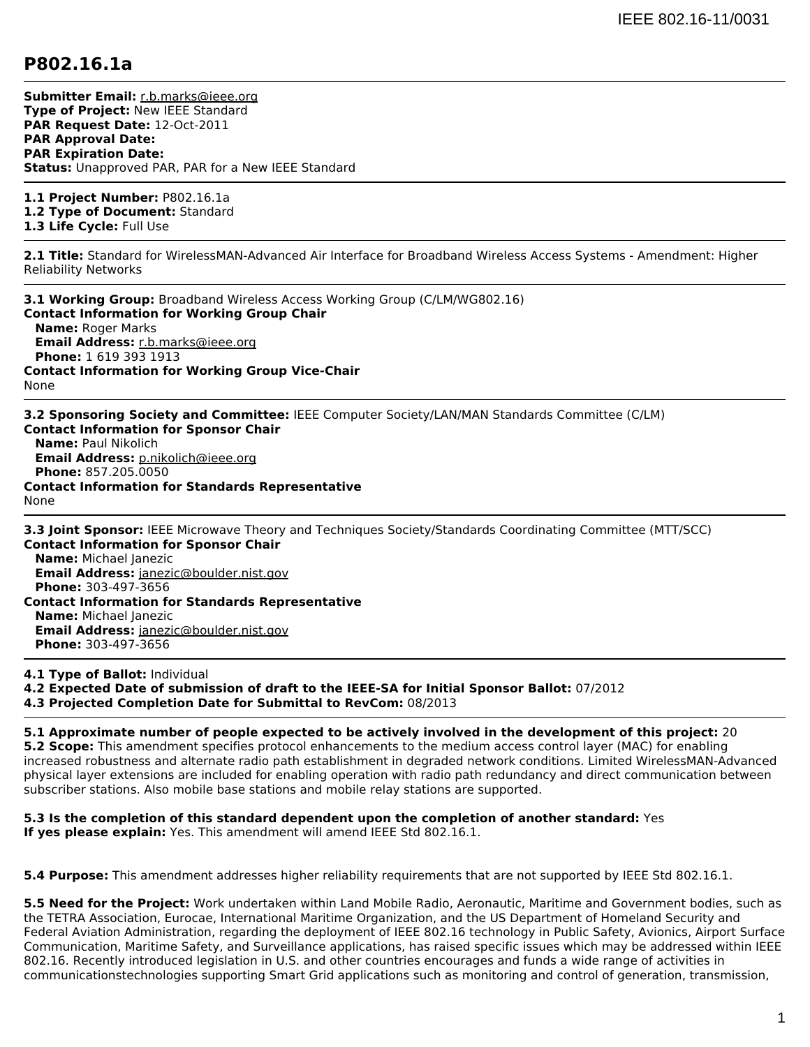## **P802.16.1a**

**Submitter Email:** [r.b.marks@ieee.org](mailto:r.b.marks%40ieee.org) **Type of Project:** New IEEE Standard **PAR Request Date:** 12-Oct-2011 **PAR Approval Date: PAR Expiration Date: Status:** Unapproved PAR, PAR for a New IEEE Standard

**1.1 Project Number:** P802.16.1a **1.2 Type of Document:** Standard

**1.3 Life Cycle:** Full Use

**2.1 Title:** Standard for WirelessMAN-Advanced Air Interface for Broadband Wireless Access Systems - Amendment: Higher Reliability Networks

**3.1 Working Group:** Broadband Wireless Access Working Group (C/LM/WG802.16) **Contact Information for Working Group Chair Name:** Roger Marks **Email Address:** [r.b.marks@ieee.org](mailto:r.b.marks%40ieee.org) **Phone:** 1 619 393 1913 **Contact Information for Working Group Vice-Chair** None

**3.2 Sponsoring Society and Committee:** IEEE Computer Society/LAN/MAN Standards Committee (C/LM) **Contact Information for Sponsor Chair Name:** Paul Nikolich **Email Address:** [p.nikolich@ieee.org](mailto:p.nikolich%40ieee.org) **Phone:** 857.205.0050 **Contact Information for Standards Representative** None

**3.3 Joint Sponsor:** IEEE Microwave Theory and Techniques Society/Standards Coordinating Committee (MTT/SCC) **Contact Information for Sponsor Chair Name:** Michael Janezic **Email Address:** [janezic@boulder.nist.gov](mailto:janezic%40boulder.nist.gov) **Phone:** 303-497-3656 **Contact Information for Standards Representative Name:** Michael Janezic **Email Address:** [janezic@boulder.nist.gov](mailto:janezic%40boulder.nist.gov) **Phone:** 303-497-3656

**4.1 Type of Ballot:** Individual

**4.2 Expected Date of submission of draft to the IEEE-SA for Initial Sponsor Ballot:** 07/2012

**4.3 Projected Completion Date for Submittal to RevCom:** 08/2013

**5.1 Approximate number of people expected to be actively involved in the development of this project:** 20 **5.2 Scope:** This amendment specifies protocol enhancements to the medium access control layer (MAC) for enabling increased robustness and alternate radio path establishment in degraded network conditions. Limited WirelessMAN-Advanced physical layer extensions are included for enabling operation with radio path redundancy and direct communication between subscriber stations. Also mobile base stations and mobile relay stations are supported.

**5.3 Is the completion of this standard dependent upon the completion of another standard:** Yes **If yes please explain:** Yes. This amendment will amend IEEE Std 802.16.1.

**5.4 Purpose:** This amendment addresses higher reliability requirements that are not supported by IEEE Std 802.16.1.

**5.5 Need for the Project:** Work undertaken within Land Mobile Radio, Aeronautic, Maritime and Government bodies, such as the TETRA Association, Eurocae, International Maritime Organization, and the US Department of Homeland Security and Federal Aviation Administration, regarding the deployment of IEEE 802.16 technology in Public Safety, Avionics, Airport Surface Communication, Maritime Safety, and Surveillance applications, has raised specific issues which may be addressed within IEEE 802.16. Recently introduced legislation in U.S. and other countries encourages and funds a wide range of activities in communicationstechnologies supporting Smart Grid applications such as monitoring and control of generation, transmission,